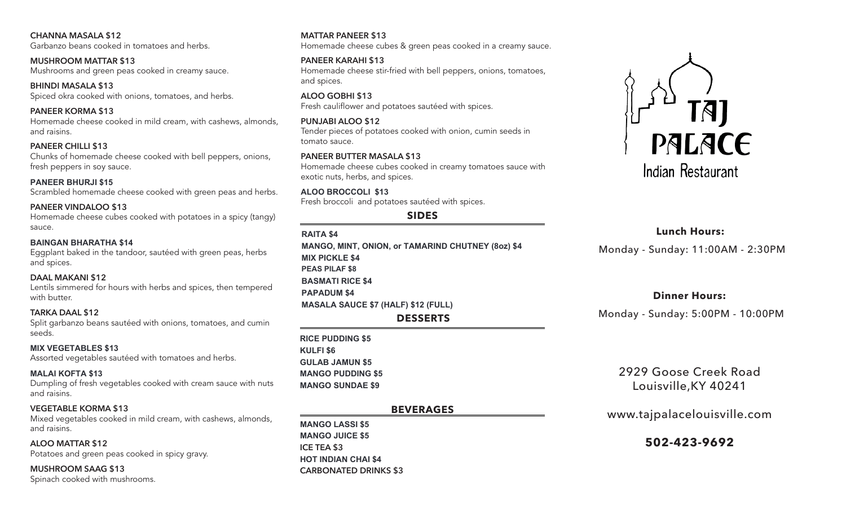**CHANNA MASALA \$12** Garbanzo beans cooked in tomatoes and herbs.

**MUSHROOM MATTAR \$13** Mushrooms and green peas cooked in creamy sauce.

**BHINDI MASALA \$13** Spiced okra cooked with onions, tomatoes, and herbs.

**PANEER KORMA \$13** Homemade cheese cooked in mild cream, with cashews, almonds, and raisins.

**PANEER CHILLI \$13** Chunks of homemade cheese cooked with bell peppers, onions, fresh peppers in soy sauce.

**PANEER BHURJI \$13 PANEER BHURJI \$15** Scrambled homemade cheese cooked with green peas and herbs.

**PANEER VINDALOO \$13** Homemade cheese cubes cooked with potatoes in a spicy (tangy) sauce.

**BAINGAN BHARATHA \$13 BAINGAN BHARATHA \$14** Eggplant baked in the tandoor, sautéed with green peas, herbs and spices.

# **DAAL MAKANI \$12**

Lentils simmered for hours with herbs and spices, then tempered with butter.

### **TARKA DAAL \$12**

Split garbanzo beans sautéed with onions, tomatoes, and cumin seeds.

#### **MIX VEGETABLES \$12 MIX VEGETABLES \$13**

Assorted vegetables sautéed with tomatoes and herbs.

#### **MALAI KOFTA \$13 MALAI KOFTA \$13**

Dumpling of fresh vegetables cooked with cream sauce with nuts and raisins.

#### **VEGETABLE KORMA \$13**

Mixed vegetables cooked in mild cream, with cashews, almonds, and raisins.

**ALOO MATTAR \$12** Potatoes and green peas cooked in spicy gravy.

**MUSHROOM SAAG \$13** Spinach cooked with mushrooms.

## **MATTAR PANEER \$13**

Homemade cheese cubes & green peas cooked in a creamy sauce.

### **PANEER KARAHI \$13**

Homemade cheese stir-fried with bell peppers, onions, tomatoes, and spices.

**ALOO GOBHI \$13** Fresh cauliflower and potatoes sautéed with spices.

### **PUNJABI ALOO \$12**

Tender pieces of potatoes cooked with onion, cumin seeds in tomato sauce.

### **PANEER BUTTER MASALA \$13**

Homemade cheese cubes cooked in creamy tomatoes sauce with exotic nuts, herbs, and spices.

### **ALOO BROCCOLI \$12 ALOO BROCCOLI \$13**

Fresh broccoli and potatoes sautéed with spices.

# **SIDES**

- **RAITA \$3 RAITA \$4 MANGO, MINT, ONION, or TAMARIND CHUTNEY (8oz) \$3 MANGO, MINT, ONION, or TAMARIND CHUTNEY (8oz) \$4 MIX PICKLE \$3 MIX PICKLE \$4 PEAS PILAF \$6 PEAS PILAF \$8 BASMATI RICE \$3 BASMATI RICE \$4 PAPADUM \$3 PAPADUM \$4 MASALA SAUCE \$6 (HALF) \$11 (FULL) MASALA SAUCE \$7 (HALF) \$12 (FULL) DESSERTS**
- **RICE PUDDING \$4 RICE PUDDING \$5 KULFI \$5 KULFI \$6 GULAB JAMUN \$4 GULAB JAMUN \$5 MANGO PUDDING \$4 MANGO PUDDING \$5 MANGO SUNDAE \$8 MANGO SUNDAE \$9**

# **BEVERAGES**

**MANGO LASSI \$4 MANGO LASSI \$5 MANGO JUICE \$4 MANGO JUICE \$5 ICE TEA \$3 HOT INDIAN CHAI \$3 HOT INDIAN CHAI \$4CARBONATED DRINKS \$3**



# **Lunch Hours:**

Monday - Sunday: 11:00AM - 2:30PM

# **Dinner Hours:**

Monday - Sunday: 5:00PM - 10:00PM

2929 Goose Creek Road Louisville,KY 40241

# www.tajpalacelouisville.com

# **502-423-9692**